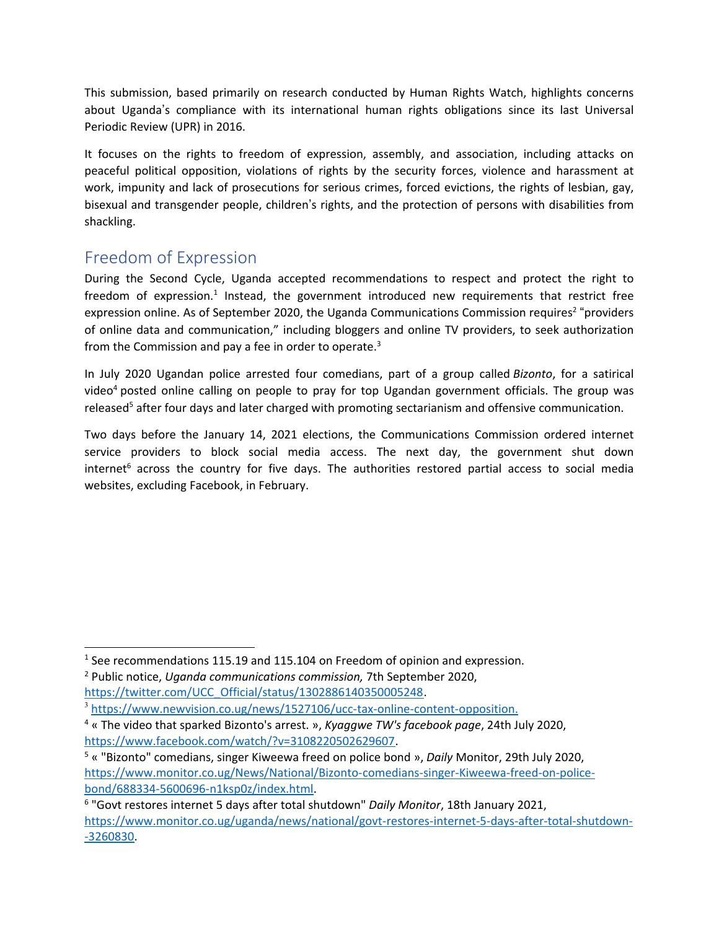This submission, based primarily on research conducted by Human Rights Watch, highlights concerns about Uganda'<sup>s</sup> compliance with its international human rights obligations since its last Universal Periodic Review (UPR) in 2016.

It focuses on the rights to freedom of expression, assembly, and association, including attacks on peaceful political opposition, violations of rights by the security forces, violence and harassment at work, impunity and lack of prosecutions for serious crimes, forced evictions, the rights of lesbian, gay, bisexual and transgender people, children'<sup>s</sup> rights, and the protection of persons with disabilities from shackling.

## Freedom of Expression

During the Second Cycle, Uganda accepted recommendations to respect and protect the right to freedom of expression.<sup>1</sup> Instead, the government introduced new requirements that restrict free expression online. As of September 2020, the Uganda Communications Commission requires<sup>2</sup> "providers of online data and communication," including bloggers and online TV providers, to seek authorization from the Commission and pay a fee in order to operate.<sup>3</sup>

In July 2020 Ugandan police arrested four comedians, part of <sup>a</sup> group called *Bizonto*, for <sup>a</sup> satirical video<sup>4</sup> posted online calling on people to pray for top Ugandan government officials. The group was released<sup>5</sup> after four days and later charged with promoting sectarianism and offensive communication.

Two days before the January 14, 2021 elections, the Communications Commission ordered internet service providers to block social media access. The next day, the government shut down internet<sup>6</sup> across the country for five days. The authorities restored partial access to social media websites, excluding Facebook, in February.

<sup>&</sup>lt;sup>1</sup> See recommendations 115.19 and 115.104 on Freedom of opinion and expression.

<sup>2</sup> Public notice, *Uganda communications commission,* 7th September 2020, [https://twitter.com/UCC\\_Official/status/1302886140350005248](https://twitter.com/UCC_Official/status/1302886140350005248).

<sup>&</sup>lt;sup>3</sup> <https://www.newvision.co.ug/news/1527106/ucc-tax-online-content-opposition>.

<sup>4</sup> « The video that sparked Bizonto's arrest. », *Kyaggwe TW's facebook page*, 24th July 2020, <https://www.facebook.com/watch/?v=3108220502629607>.

<sup>5</sup> « "Bizonto" comedians, singer Kiweewa freed on police bond », *Daily* Monitor, 29th July 2020, [https://www.monitor.co.ug/News/National/Bizonto-comedians-singer-Kiweewa-freed-on-police](https://www.monitor.co.ug/News/National/Bizonto-comedians-singer-Kiweewa-freed-on-police-bond/688334-5600696-n1ksp0z/index.html)[bond/688334-5600696-n1ksp0z/index.html](https://www.monitor.co.ug/News/National/Bizonto-comedians-singer-Kiweewa-freed-on-police-bond/688334-5600696-n1ksp0z/index.html).

<sup>6</sup> "Govt restores internet 5 days after total shutdown" *Daily Monitor*, 18th January 2021, [https://www.monitor.co.ug/uganda/news/national/govt-restores-internet-5-days-after-total-shutdown-](https://www.monitor.co.ug/uganda/news/national/govt-restores-internet-5-days-after-total-shutdown--3260830) [-3260830](https://www.monitor.co.ug/uganda/news/national/govt-restores-internet-5-days-after-total-shutdown--3260830).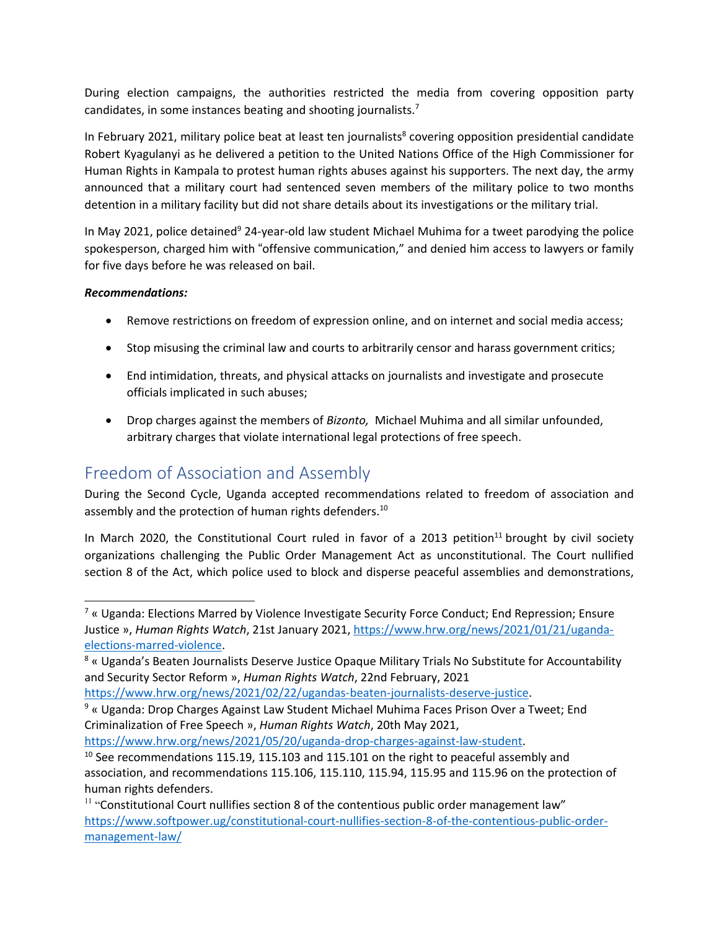During election campaigns, the authorities restricted the media from covering opposition party candidates, in some instances beating and shooting journalists.<sup>7</sup>

In February 2021, military police beat at least ten journalists 8 covering opposition presidential candidate Robert Kyagulanyi as he delivered <sup>a</sup> petition to the United Nations Office of the High Commissioner for Human Rights in Kampala to protest human rights abuses against his supporters. The next day, the army announced that <sup>a</sup> military court had sentenced seven members of the military police to two months detention in <sup>a</sup> military facility but did not share details about its investigations or the military trial.

In May 2021, police detained<sup>9</sup> 24-year-old law student Michael Muhima for a tweet parodying the police spokesperson, charged him with "offensive communication," and denied him access to lawyers or family for five days before he was released on bail.

### *Recommendations:*

- Remove restrictions on freedom of expression online, and on internet and social media access;
- **•** Stop misusing the criminal law and courts to arbitrarily censor and harass government critics;
- End intimidation, threats, and physical attacks on journalists and investigate and prosecute officials implicated in such abuses;
- Drop charges against the members of *Bizonto,* Michael Muhima and all similar unfounded, arbitrary charges that violate international legal protections of free speech.

## Freedom of Association and Assembly

During the Second Cycle, Uganda accepted recommendations related to freedom of association and assembly and the protection of human rights defenders. $^{10}$ 

In March 2020, the Constitutional Court ruled in favor of a 2013 petition<sup>11</sup> brought by civil society organizations challenging the Public Order Management Act as unconstitutional. The Court nullified section 8 of the Act, which police used to block and disperse peaceful assemblies and demonstrations,

9 « Uganda: Drop Charges Against Law Student Michael Muhima Faces Prison Over <sup>a</sup> Tweet; End Criminalization of Free Speech », *Human Rights Watch*, 20th May 2021,

<https://www.hrw.org/news/2021/05/20/uganda-drop-charges-against-law-student>.

<sup>7</sup> « Uganda: Elections Marred by Violence Investigate Security Force Conduct; End Repression; Ensure Justice », *Human Rights Watch*, 21st January 2021, [https://www.hrw.org/news/2021/01/21/uganda](https://www.hrw.org/news/2021/01/21/uganda-elections-marred-violence)[elections-marred-violence](https://www.hrw.org/news/2021/01/21/uganda-elections-marred-violence).

<sup>8</sup> « Uganda'<sup>s</sup> Beaten Journalists Deserve Justice Opaque Military Trials No Substitute for Accountability and Security Sector Reform », *Human Rights Watch*, 22nd February, 2021

<https://www.hrw.org/news/2021/02/22/ugandas-beaten-journalists-deserve-justice>.

 $^{10}$  See recommendations 115.19, 115.103 and 115.101 on the right to peaceful assembly and association, and recommendations 115.106, 115.110, 115.94, 115.95 and 115.96 on the protection of human rights defenders.

<sup>&</sup>lt;sup>11</sup> "Constitutional Court nullifies section 8 of the contentious public order management law" [https://www.softpower.ug/constitutional-court-nullifies-section-8-of-the-contentious-public-order](https://www.softpower.ug/constitutional-court-nullifies-section-8-of-the-contentious-public-order-management-law/)[management-law/](https://www.softpower.ug/constitutional-court-nullifies-section-8-of-the-contentious-public-order-management-law/)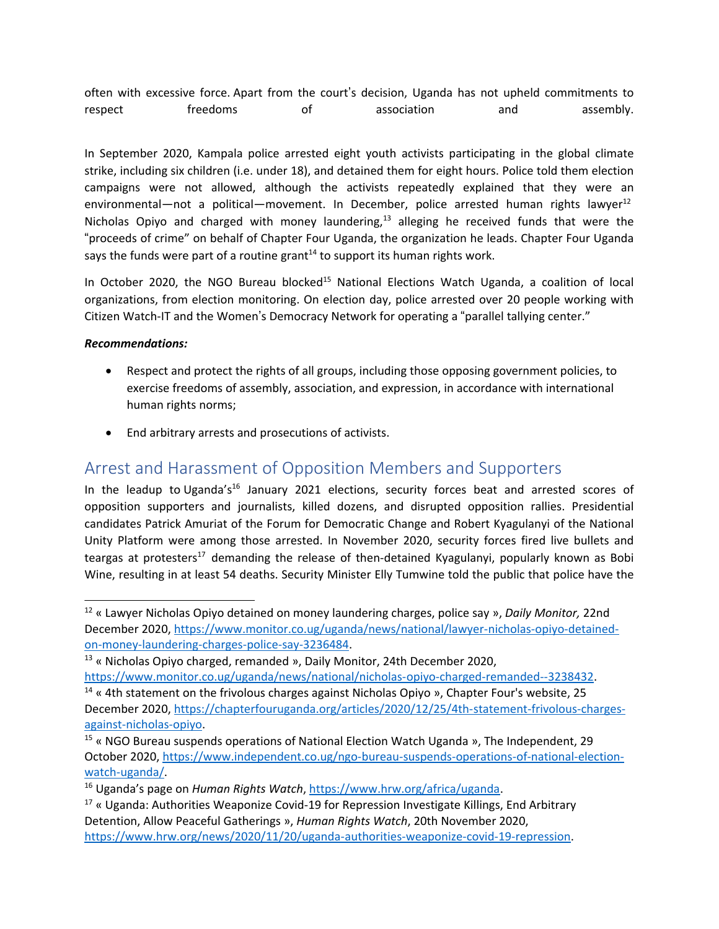often with excessive force. Apart from the court'<sup>s</sup> decision, Uganda has not upheld commitments to respect treedoms of association and assembly.

In September 2020, Kampala police arrested eight youth activists participating in the global climate strike, including six children (i.e. under 18), and detained them for eight hours. Police told them election campaigns were not allowed, although the activists repeatedly explained that they were an environmental—not a political—movement. In December, police arrested human rights lawyer<sup>12</sup> Nicholas Opiyo and charged with money laundering,<sup>13</sup> alleging he received funds that were the "proceeds of crime" on behalf of Chapter Four Uganda, the organization he leads. Chapter Four Uganda says the funds were part of a routine grant $^{14}$  to support its human rights work.

In October 2020, the NGO Bureau blocked<sup>15</sup> National Elections Watch Uganda, a coalition of local organizations, from election monitoring. On election day, police arrested over 20 people working with Citizen Watch-IT and the Women'<sup>s</sup> Democracy Network for operating <sup>a</sup> "parallel tallying center."

### *Recommendations:*

- $\bullet$  Respect and protect the rights of all groups, including those opposing government policies, to exercise freedoms of assembly, association, and expression, in accordance with international human rights norms;
- End arbitrary arrests and prosecutions of activists.

### Arrest and Harassment of Opposition Members and Supporters

In the leadup to Uganda's<sup>16</sup> January 2021 elections, security forces beat and arrested scores of opposition supporters and journalists, killed dozens, and disrupted opposition rallies. Presidential candidates Patrick Amuriat of the Forum for Democratic Change and Robert Kyagulanyi of the National Unity Platform were among those arrested. In November 2020, security forces fired live bullets and teargas at protesters<sup>17</sup> demanding the release of then-detained Kyagulanyi, popularly known as Bobi Wine, resulting in at least 54 deaths. Security Minister Elly Tumwine told the public that police have the

<sup>12</sup> « Lawyer Nicholas Opiyo detained on money laundering charges, police say », *Daily Monitor,* 22nd December 2020, [https://www.monitor.co.ug/uganda/news/national/lawyer-nicholas-opiyo-detained](https://www.monitor.co.ug/uganda/news/national/lawyer-nicholas-opiyo-detained-on-money-laundering-charges-police-say-3236484)[on-money-laundering-charges-police-say-3236484](https://www.monitor.co.ug/uganda/news/national/lawyer-nicholas-opiyo-detained-on-money-laundering-charges-police-say-3236484).

<sup>&</sup>lt;sup>13</sup> « Nicholas Opiyo charged, remanded », Daily Monitor, 24th December 2020,

<https://www.monitor.co.ug/uganda/news/national/nicholas-opiyo-charged-remanded--3238432>.

<sup>&</sup>lt;sup>14</sup> « 4th statement on the frivolous charges against Nicholas Opiyo », Chapter Four's website, 25 December 2020, [https://chapterfouruganda.org/articles/2020/12/25/4th-statement-frivolous-charges](https://chapterfouruganda.org/articles/2020/12/25/4th-statement-frivolous-charges-against-nicholas-opiyo)[against-nicholas-opiyo](https://chapterfouruganda.org/articles/2020/12/25/4th-statement-frivolous-charges-against-nicholas-opiyo).

<sup>&</sup>lt;sup>15</sup> « NGO Bureau suspends operations of National Election Watch Uganda », The Independent, 29 October 2020, [https://www.independent.co.ug/ngo-bureau-suspends-operations-of-national-election](https://www.independent.co.ug/ngo-bureau-suspends-operations-of-national-election-watch-uganda/)[watch-uganda/](https://www.independent.co.ug/ngo-bureau-suspends-operations-of-national-election-watch-uganda/).

<sup>16</sup> Uganda'<sup>s</sup> page on *Human Rights Watch*, <https://www.hrw.org/africa/uganda>.

 $^{17}$  « Uganda: Authorities Weaponize Covid-19 for Repression Investigate Killings, End Arbitrary Detention, Allow Peaceful Gatherings », *Human Rights Watch*, 20th November 2020, <https://www.hrw.org/news/2020/11/20/uganda-authorities-weaponize-covid-19-repression>.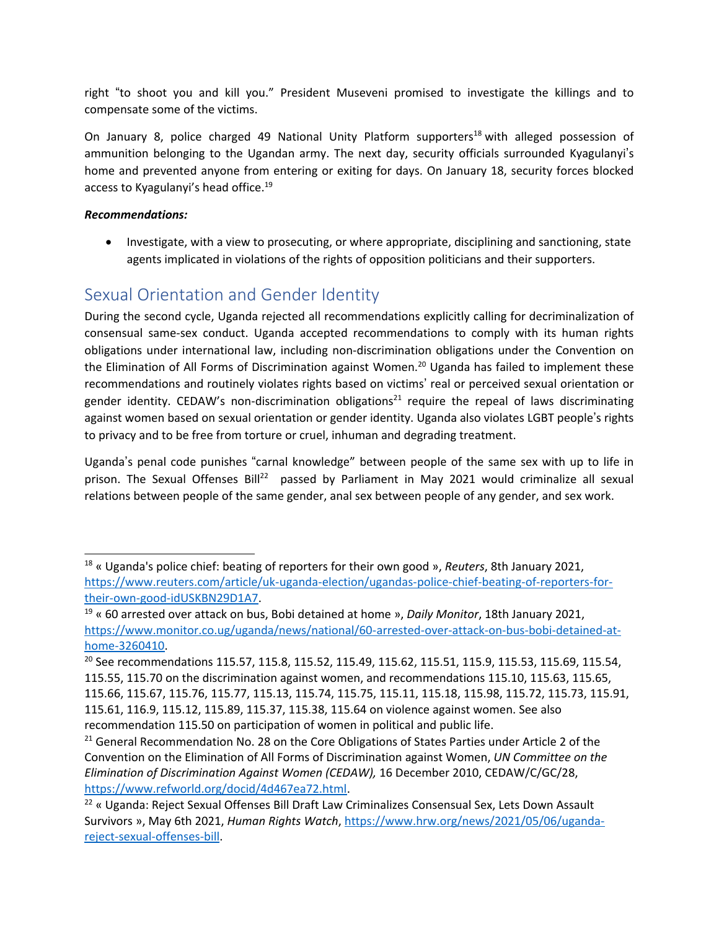right "to shoot you and kill you." President Museveni promised to investigate the killings and to compensate some of the victims.

On January 8, police charged 49 National Unity Platform supporters<sup>18</sup> with alleged possession of ammunition belonging to the Ugandan army. The next day, security officials surrounded Kyagulanyi'<sup>s</sup> home and prevented anyone from entering or exiting for days. On January 18, security forces blocked access to Kyagulanyi's head office.<sup>19</sup>

### *Recommendations:*

 Investigate, with <sup>a</sup> view to prosecuting, or where appropriate, disciplining and sanctioning, state agents implicated in violations of the rights of opposition politicians and their supporters.

# Sexual Orientation and Gender Identity

During the second cycle, Uganda rejected all recommendations explicitly calling for decriminalization of consensual same-sex conduct. Uganda accepted recommendations to comply with its human rights obligations under international law, including non-discrimination obligations under the Convention on the Elimination of All Forms of Discrimination against Women.<sup>20</sup> Uganda has failed to implement these recommendations and routinely violates rights based on victims' real or perceived sexual orientation or gender identity. CEDAW's non-discrimination obligations<sup>21</sup> require the repeal of laws discriminating against women based on sexual orientation or gender identity. Uganda also violates LGBT people'<sup>s</sup> rights to privacy and to be free from torture or cruel, inhuman and degrading treatment.

Uganda'<sup>s</sup> penal code punishes "carnal knowledge" between people of the same sex with up to life in prison. The Sexual Offenses Bill<sup>22</sup> passed by Parliament in May 2021 would criminalize all sexual relations between people of the same gender, anal sex between people of any gender, and sex work.

<sup>18</sup> « Uganda's police chief: beating of reporters for their own good », *Reuters*, 8th January 2021, [https://www.reuters.com/article/uk-uganda-election/ugandas-police-chief-beating-of-reporters-for](https://www.reuters.com/article/uk-uganda-election/ugandas-police-chief-beating-of-reporters-for-their-own-good-idUSKBN29D1A7)[their-own-good-idUSKBN29D1A7](https://www.reuters.com/article/uk-uganda-election/ugandas-police-chief-beating-of-reporters-for-their-own-good-idUSKBN29D1A7).

<sup>19</sup> « 60 arrested over attack on bus, Bobi detained at home », *Daily Monitor*, 18th January 2021, [https://www.monitor.co.ug/uganda/news/national/60-arrested-over-attack-on-bus-bobi-detained-at](https://www.monitor.co.ug/uganda/news/national/60-arrested-over-attack-on-bus-bobi-detained-at-home-3260410)[home-3260410](https://www.monitor.co.ug/uganda/news/national/60-arrested-over-attack-on-bus-bobi-detained-at-home-3260410).

<sup>&</sup>lt;sup>20</sup> See recommendations 115.57, 115.8, 115.52, 115.49, 115.62, 115.51, 115.9, 115.53, 115.69, 115.54, 115.55, 115.70 on the discrimination against women, and recommendations 115.10, 115.63, 115.65, 115.66, 115.67, 115.76, 115.77, 115.13, 115.74, 115.75, 115.11, 115.18, 115.98, 115.72, 115.73, 115.91, 115.61, 116.9, 115.12, 115.89, 115.37, 115.38, 115.64 on violence against women. See also recommendation 115.50 on participation of women in political and public life.

<sup>&</sup>lt;sup>21</sup> General Recommendation No. 28 on the Core Obligations of States Parties under Article 2 of the Convention on the Elimination of All Forms of Discrimination against Women, *UN Committee on the Elimination of Discrimination Against Women (CEDAW),* 16 December 2010, CEDAW/C/GC/28, <https://www.refworld.org/docid/4d467ea72.html>.

 $^{22}$  « Uganda: Reject Sexual Offenses Bill Draft Law Criminalizes Consensual Sex, Lets Down Assault Survivors », May 6th 2021, *Human Rights Watch*, [https://www.hrw.org/news/2021/05/06/uganda](https://www.hrw.org/news/2021/05/06/uganda-reject-sexual-offenses-bill)[reject-sexual-offenses-bill](https://www.hrw.org/news/2021/05/06/uganda-reject-sexual-offenses-bill).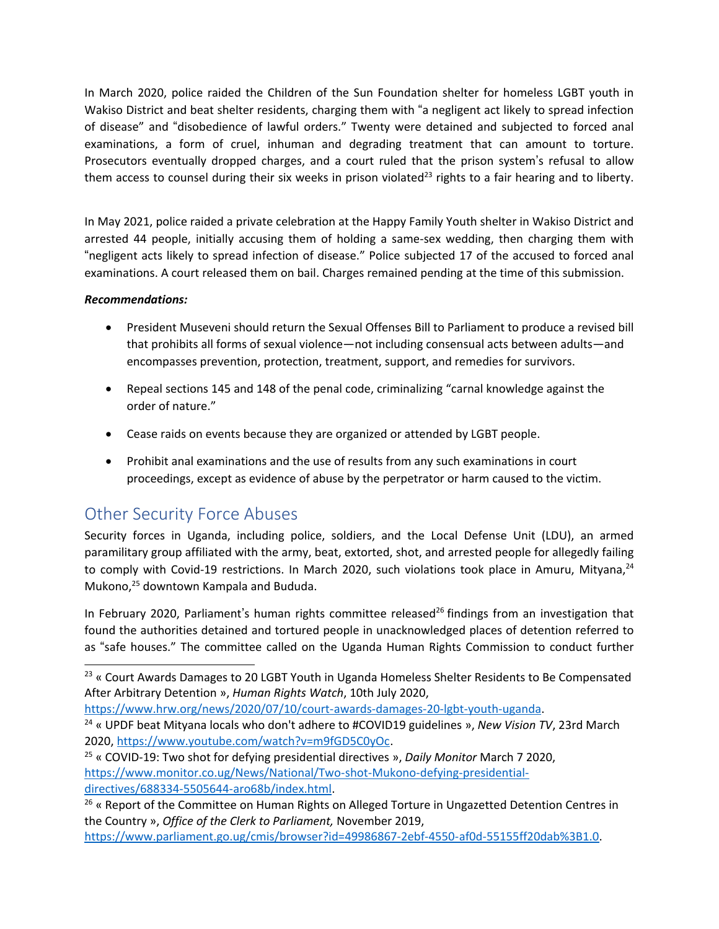In March 2020, police raided the Children of the Sun Foundation shelter for homeless LGBT youth in Wakiso District and beat shelter residents, charging them with "<sup>a</sup> negligent act likely to spread infection of disease" and "disobedience of lawful orders." Twenty were detained and subjected to forced anal examinations, <sup>a</sup> form of cruel, inhuman and degrading treatment that can amount to torture. Prosecutors eventually dropped charges, and <sup>a</sup> court ruled that the prison system'<sup>s</sup> refusal to allow them access to counsel during their six weeks in prison violated<sup>23</sup> rights to a fair hearing and to liberty.

In May 2021, police raided <sup>a</sup> private celebration at the Happy Family Youth shelter in Wakiso District and arrested 44 people, initially accusing them of holding <sup>a</sup> same-sex wedding, then charging them with "negligent acts likely to spread infection of disease." Police subjected <sup>17</sup> of the accused to forced anal examinations. A court released them on bail. Charges remained pending at the time of this submission.

### *Recommendations:*

- President Museveni should return the Sexual Offenses Bill to Parliament to produce <sup>a</sup> revised bill that prohibits all forms of sexual violence—not including consensual acts between adults—and encompasses prevention, protection, treatment, support, and remedies for survivors.
- Repeal sections 145 and 148 of the penal code, criminalizing "carnal knowledge against the order of nature."
- Cease raids on events because they are organized or attended by LGBT people.
- Prohibit anal examinations and the use of results from any such examinations in court proceedings, except as evidence of abuse by the perpetrator or harm caused to the victim.

## Other Security Force Abuses

Security forces in Uganda, including police, soldiers, and the Local Defense Unit (LDU), an armed paramilitary group affiliated with the army, beat, extorted, shot, and arrested people for allegedly failing to comply with Covid-19 restrictions. In March 2020, such violations took place in Amuru, Mityana,<sup>24</sup> Mukono, 25 downtown Kampala and Bududa.

In February 2020, Parliament's human rights committee released<sup>26</sup> findings from an investigation that found the authorities detained and tortured people in unacknowledged places of detention referred to as "safe houses." The committee called on the Uganda Human Rights Commission to conduct further

<https://www.hrw.org/news/2020/07/10/court-awards-damages-20-lgbt-youth-uganda>.

 $^{23}$  « Court Awards Damages to 20 LGBT Youth in Uganda Homeless Shelter Residents to Be Compensated After Arbitrary Detention », *Human Rights Watch*, 10th July 2020,

<sup>24</sup> « UPDF beat Mityana locals who don't adhere to #COVID19 guidelines », *New Vision TV*, 23rd March 2020, <https://www.youtube.com/watch?v=m9fGD5C0yOc>.

<sup>25</sup> « COVID-19: Two shot for defying presidential directives », *Daily Monitor* March 7 2020, [https://www.monitor.co.ug/News/National/Two-shot-Mukono-defying-presidential](https://www.monitor.co.ug/News/National/Two-shot-Mukono-defying-presidential-directives/688334-5505644-aro68b/index.html)[directives/688334-5505644-aro68b/index.html](https://www.monitor.co.ug/News/National/Two-shot-Mukono-defying-presidential-directives/688334-5505644-aro68b/index.html).

<sup>&</sup>lt;sup>26</sup> « Report of the Committee on Human Rights on Alleged Torture in Ungazetted Detention Centres in the Country », *Office of the Clerk to Parliament,* November 2019,

<https://www.parliament.go.ug/cmis/browser?id=49986867-2ebf-4550-af0d-55155ff20dab%3B1.0>.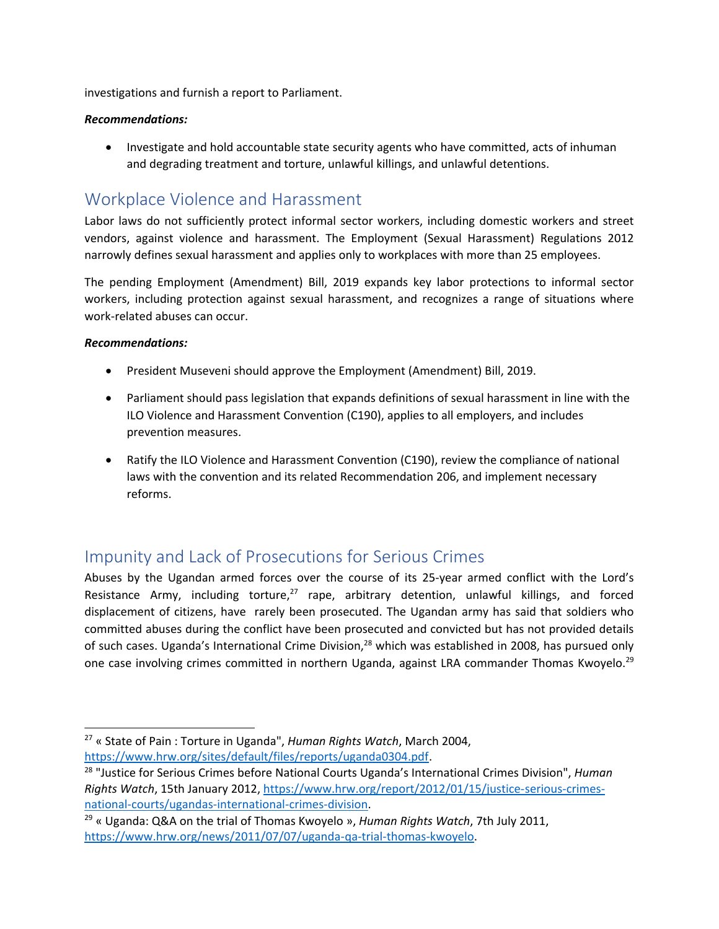investigations and furnish <sup>a</sup> report to Parliament.

#### *Recommendations:*

 Investigate and hold accountable state security agents who have committed, acts of inhuman and degrading treatment and torture, unlawful killings, and unlawful detentions.

### Workplace Violence and Harassment

Labor laws do not sufficiently protect informal sector workers, including domestic workers and street vendors, against violence and harassment. The Employment (Sexual Harassment) Regulations 2012 narrowly defines sexual harassment and applies only to workplaces with more than 25 employees.

The pending Employment (Amendment) Bill, 2019 expands key labor protections to informal sector workers, including protection against sexual harassment, and recognizes <sup>a</sup> range of situations where work-related abuses can occur.

#### *Recommendations:*

- President Museveni should approve the Employment (Amendment) Bill, 2019.
- Parliament should pass legislation that expands definitions of sexual harassment in line with the ILO Violence and Harassment Convention (C190), applies to all employers, and includes prevention measures.
- Ratify the ILO Violence and Harassment Convention (C190), review the compliance of national laws with the convention and its related Recommendation 206, and implement necessary reforms.

### Impunity and Lack of Prosecutions for Serious Crimes

Abuses by the Ugandan armed forces over the course of its 25-year armed conflict with the Lord'<sup>s</sup> Resistance Army, including torture,<sup>27</sup> rape, arbitrary detention, unlawful killings, and forced displacement of citizens, have rarely been prosecuted. The Ugandan army has said that soldiers who committed abuses during the conflict have been prosecuted and convicted but has not provided details of such cases. Uganda's International Crime Division,<sup>28</sup> which was established in 2008, has pursued only one case involving crimes committed in northern Uganda, against LRA commander Thomas Kwoyelo.<sup>29</sup>

<sup>27</sup> « State of Pain : Torture in Uganda", *Human Rights Watch*, March 2004, <https://www.hrw.org/sites/default/files/reports/uganda0304.pdf>.

<sup>28</sup> "Justice for Serious Crimes before National Courts Uganda'<sup>s</sup> International Crimes Division", *Human Rights Watch*, 15th January 2012, [https://www.hrw.org/report/2012/01/15/justice-serious-crimes](https://www.hrw.org/report/2012/01/15/justice-serious-crimes-national-courts/ugandas-international-crimes-division)[national-courts/ugandas-international-crimes-division](https://www.hrw.org/report/2012/01/15/justice-serious-crimes-national-courts/ugandas-international-crimes-division).

<sup>29</sup> « Uganda: Q&A on the trial of Thomas Kwoyelo », *Human Rights Watch*, 7th July 2011, <https://www.hrw.org/news/2011/07/07/uganda-qa-trial-thomas-kwoyelo>.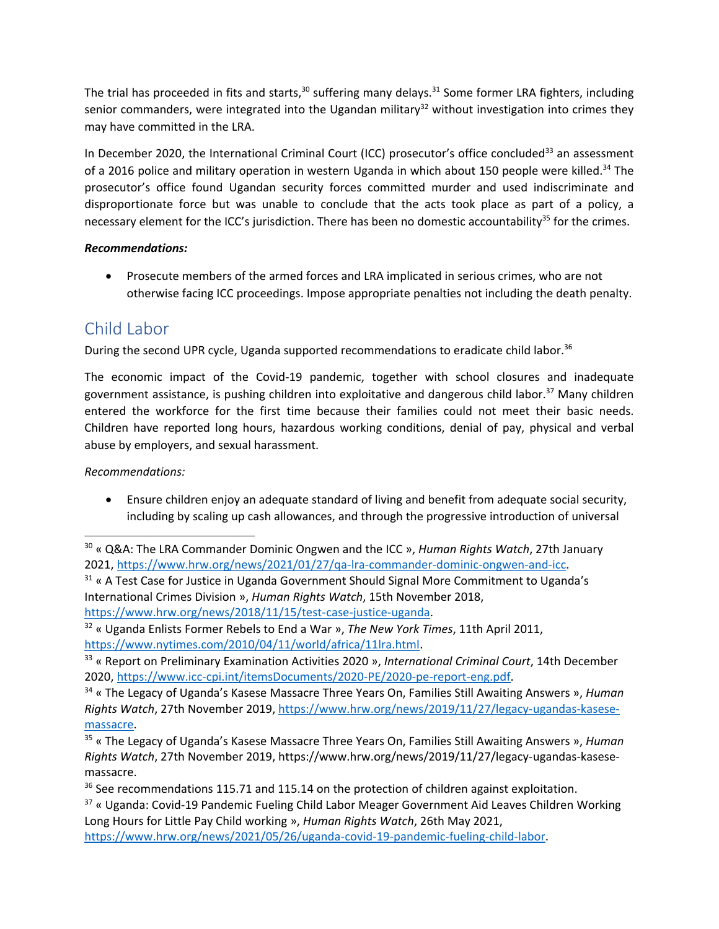The trial has proceeded in fits and starts,<sup>30</sup> suffering many delays.<sup>31</sup> Some former LRA fighters, including senior commanders, were integrated into the Ugandan military<sup>32</sup> without investigation into crimes they may have committed in the LRA.

In December 2020, the International Criminal Court (ICC) prosecutor's office concluded<sup>33</sup> an assessment of a 2016 police and military operation in western Uganda in which about 150 people were killed.<sup>34</sup> The prosecutor'<sup>s</sup> office found Ugandan security forces committed murder and used indiscriminate and disproportionate force but was unable to conclude that the acts took place as part of <sup>a</sup> policy, <sup>a</sup> necessary element for the ICC's jurisdiction. There has been no domestic accountability $^{35}$  for the crimes.

### *Recommendations:*

 Prosecute members of the armed forces and LRA implicated in serious crimes, who are not otherwise facing ICC proceedings. Impose appropriate penalties not including the death penalty.

## Child Labor

During the second UPR cycle, Uganda supported recommendations to eradicate child labor. 36

The economic impact of the Covid-19 pandemic, together with school closures and inadequate government assistance, is pushing children into exploitative and dangerous child labor.<sup>37</sup> Many children entered the workforce for the first time because their families could not meet their basic needs. Children have reported long hours, hazardous working conditions, denial of pay, physical and verbal abuse by employers, and sexual harassment.

*Recommendations:*

 Ensure children enjoy an adequate standard of living and benefit from adequate social security, including by scaling up cash allowances, and through the progressive introduction of universal

 $31$  « A Test Case for Justice in Uganda Government Should Signal More Commitment to Uganda's International Crimes Division », *Human Rights Watch*, 15th November 2018, <https://www.hrw.org/news/2018/11/15/test-case-justice-uganda>.

<sup>30</sup> « Q&A: The LRA Commander Dominic Ongwen and the ICC », *Human Rights Watch*, 27th January 2021, <https://www.hrw.org/news/2021/01/27/qa-lra-commander-dominic-ongwen-and-icc>.

<sup>32</sup> « Uganda Enlists Former Rebels to End <sup>a</sup> War », *The New York Times*, 11th April 2011, <https://www.nytimes.com/2010/04/11/world/africa/11lra.html>.

<sup>33</sup> « Report on Preliminary Examination Activities 2020 », *International Criminal Court*, 14th December 2020, <https://www.icc-cpi.int/itemsDocuments/2020-PE/2020-pe-report-eng.pdf>.

<sup>34</sup> « The Legacy of Uganda'<sup>s</sup> Kasese Massacre Three Years On, Families Still Awaiting Answers », *Human Rights Watch*, 27th November 2019, [https://www.hrw.org/news/2019/11/27/legacy-ugandas-kasese](https://www.hrw.org/news/2019/11/27/legacy-ugandas-kasese-massacre)[massacre](https://www.hrw.org/news/2019/11/27/legacy-ugandas-kasese-massacre).

<sup>35</sup> « The Legacy of Uganda'<sup>s</sup> Kasese Massacre Three Years On, Families Still Awaiting Answers », *Human Rights Watch*, 27th November 2019, https://www.hrw.org/news/2019/11/27/legacy-ugandas-kasesemassacre.

<sup>&</sup>lt;sup>36</sup> See recommendations 115.71 and 115.14 on the protection of children against exploitation.

<sup>&</sup>lt;sup>37</sup> « Uganda: Covid-19 Pandemic Fueling Child Labor Meager Government Aid Leaves Children Working Long Hours for Little Pay Child working », *Human Rights Watch*, 26th May 2021,

<https://www.hrw.org/news/2021/05/26/uganda-covid-19-pandemic-fueling-child-labor>.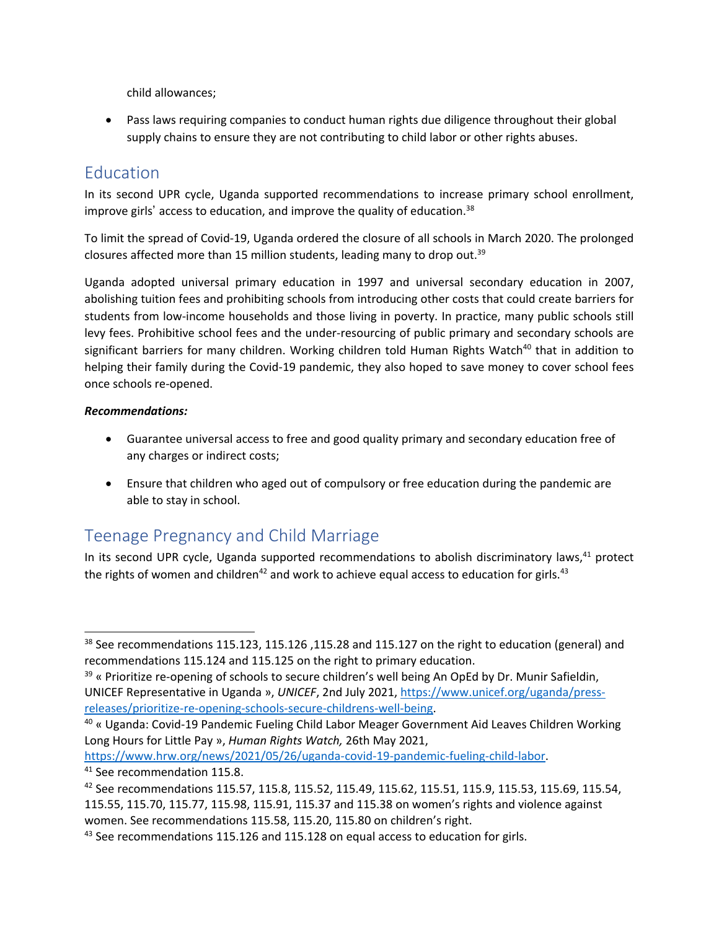child allowances;

 Pass laws requiring companies to conduct human rights due diligence throughout their global supply chains to ensure they are not contributing to child labor or other rights abuses.

## **Education**

In its second UPR cycle, Uganda supported recommendations to increase primary school enrollment, improve girls' access to education, and improve the quality of education.<sup>38</sup>

To limit the spread of Covid-19, Uganda ordered the closure of all schools in March 2020. The prolonged closures affected more than 15 million students, leading many to drop out.<sup>39</sup>

Uganda adopted universal primary education in 1997 and universal secondary education in 2007, abolishing tuition fees and prohibiting schools from introducing other costs that could create barriers for students from low-income households and those living in poverty. In practice, many public schools still levy fees. Prohibitive school fees and the under-resourcing of public primary and secondary schools are [significant](https://www.hrw.org/news/2020/11/23/pioneer-laggard) barriers for many children. Working children told Human Rights Watch<sup>40</sup> that in addition to helping their family during the Covid-19 pandemic, they also hoped to save money to cover school fees once schools re-opened.

### *Recommendations:*

- Guarantee universal access to free and good quality primary and secondary education free of any charges or indirect costs;
- Ensure that children who aged out of compulsory or free education during the pandemic are able to stay in school.

# Teenage Pregnancy and Child Marriage

In its second UPR cycle, Uganda supported recommendations to abolish discriminatory laws,<sup>41</sup> protect the rights of women and children<sup>42</sup> and work to achieve equal access to education for girls.<sup>43</sup>

<https://www.hrw.org/news/2021/05/26/uganda-covid-19-pandemic-fueling-child-labor>.

<sup>&</sup>lt;sup>38</sup> See recommendations 115.123, 115.126 ,115.28 and 115.127 on the right to education (general) and recommendations 115.124 and 115.125 on the right to primary education.

<sup>&</sup>lt;sup>39</sup> « Prioritize re-opening of schools to secure children's well being An OpEd by Dr. Munir Safieldin, UNICEF Representative in Uganda », *UNICEF*, 2nd July 2021, [https://www.unicef.org/uganda/press](https://www.unicef.org/uganda/press-releases/prioritize-re-opening-schools-secure-childrens-well-being)[releases/prioritize-re-opening-schools-secure-childrens-well-being](https://www.unicef.org/uganda/press-releases/prioritize-re-opening-schools-secure-childrens-well-being).

 $^{40}$  « Uganda: Covid-19 Pandemic Fueling Child Labor Meager Government Aid Leaves Children Working Long Hours for Little Pay », *Human Rights Watch,* 26th May 2021,

<sup>&</sup>lt;sup>41</sup> See recommendation 115.8.

 $^{42}$  See recommendations 115.57, 115.8, 115.52, 115.49, 115.62, 115.51, 115.9, 115.53, 115.69, 115.54, 115.55, 115.70, 115.77, 115.98, 115.91, 115.37 and 115.38 on women'<sup>s</sup> rights and violence against women. See recommendations 115.58, 115.20, 115.80 on children'<sup>s</sup> right.

 $^{43}$  See recommendations 115.126 and 115.128 on equal access to education for girls.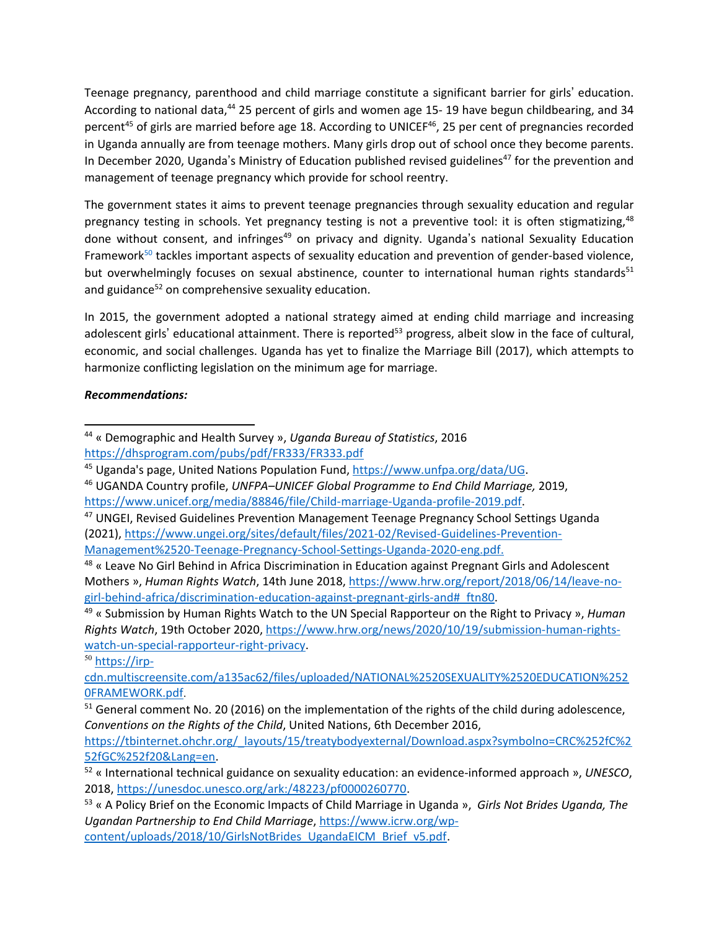Teenage pregnancy, parenthood and child marriage constitute <sup>a</sup> significant barrier for girls' education. According to national data,<sup>44</sup> 25 percent of girls and women age 15- 19 have begun childbearing, and 34 percent<sup>45</sup> of girls are married before age 18. According to UNICEF<sup>46</sup>, 25 per cent of pregnancies recorded in Uganda annually are from teenage mothers. Many girls drop out of school once they become parents. In December 2020, Uganda's Ministry of Education published revised guidelines<sup>47</sup> for the prevention and management of teenage pregnancy which provide for school reentry.

The government states it aims to prevent teenage pregnancies through sexuality education and regular pregnancy testing in schools. Yet pregnancy testing is not a preventive tool: it is often stigmatizing,<sup>48</sup> done without consent, and infringes<sup>49</sup> on privacy and dignity. Uganda's national Sexuality Education Framework<sup>50</sup> tackles important aspects of sexuality education and prevention of gender-based violence, but overwhelmingly focuses on sexual abstinence, counter to international human rights standards<sup>51</sup> and guidance<sup>52</sup> on comprehensive sexuality education.

In 2015, the government adopted <sup>a</sup> national strategy aimed at ending child marriage and increasing adolescent girls' educational attainment. There is reported<sup>53</sup> progress, albeit slow in the face of cultural, economic, and social challenges. Uganda has yet to finalize the Marriage Bill (2017), which attempts to harmonize conflicting legislation on the minimum age for marriage.

### *Recommendations:*

<sup>47</sup> UNGEI, Revised Guidelines Prevention Management Teenage Pregnancy School Settings Uganda (2021), [https://www.ungei.org/sites/default/files/2021-02/Revised-Guidelines-Prevention-](https://www.ungei.org/sites/default/files/2021-02/Revised-Guidelines-Prevention-Management%2520-Teenage-Pregnancy-School-Settings-Uganda-2020-eng.pdf)[Management%2520-Teenage-Pregnancy-School-Settings-Uganda-2020-eng.pdf](https://www.ungei.org/sites/default/files/2021-02/Revised-Guidelines-Prevention-Management%2520-Teenage-Pregnancy-School-Settings-Uganda-2020-eng.pdf).

49 « Submission by Human Rights Watch to the UN Special Rapporteur on the Right to Privacy », *Human Rights Watch*, 19th October 2020, [https://www.hrw.org/news/2020/10/19/submission-human-rights](https://www.hrw.org/news/2020/10/19/submission-human-rights-watch-un-special-rapporteur-right-privacy)[watch-un-special-rapporteur-right-privacy](https://www.hrw.org/news/2020/10/19/submission-human-rights-watch-un-special-rapporteur-right-privacy).

<sup>50</sup> [https://irp-](https://irp-cdn.multiscreensite.com/a135ac62/files/uploaded/NATIONAL%2520SEXUALITY%2520EDUCATION%2520FRAMEWORK.pdf)

[https://tbinternet.ohchr.org/\\_layouts/15/treatybodyexternal/Download.aspx?symbolno=CRC%252fC%2](https://tbinternet.ohchr.org/_layouts/15/treatybodyexternal/Download.aspx?symbolno=CRC%252fC%252fGC%252f20&Lang=en) [52fGC%252f20&Lang=en](https://tbinternet.ohchr.org/_layouts/15/treatybodyexternal/Download.aspx?symbolno=CRC%252fC%252fGC%252f20&Lang=en).

<sup>44</sup> « Demographic and Health Survey », *Uganda Bureau of Statistics*, 2016 <https://dhsprogram.com/pubs/pdf/FR333/FR333.pdf>

<sup>&</sup>lt;sup>45</sup> Uganda's page, United Nations Population Fund, <https://www.unfpa.org/data/UG>.

<sup>46</sup> UGANDA Country profile, *UNFPA–UNICEF Global Programme to End Child Marriage,* 2019, <https://www.unicef.org/media/88846/file/Child-marriage-Uganda-profile-2019.pdf>.

<sup>&</sup>lt;sup>48</sup> « Leave No Girl Behind in Africa Discrimination in Education against Pregnant Girls and Adolescent Mothers », *Human Rights Watch*, 14th June 2018, [https://www.hrw.org/report/2018/06/14/leave-no](https://www.hrw.org/report/2018/06/14/leave-no-girl-behind-africa/discrimination-education-against-pregnant-girls-and#_ftn80)[girl-behind-africa/discrimination-education-against-pregnant-girls-and#\\_ftn80](https://www.hrw.org/report/2018/06/14/leave-no-girl-behind-africa/discrimination-education-against-pregnant-girls-and#_ftn80).

[cdn.multiscreensite.com/a135ac62/files/uploaded/NATIONAL%2520SEXUALITY%2520EDUCATION%252](https://irp-cdn.multiscreensite.com/a135ac62/files/uploaded/NATIONAL%2520SEXUALITY%2520EDUCATION%2520FRAMEWORK.pdf) [0FRAMEWORK.pdf](https://irp-cdn.multiscreensite.com/a135ac62/files/uploaded/NATIONAL%2520SEXUALITY%2520EDUCATION%2520FRAMEWORK.pdf).

 $^{51}$  General comment No. 20 (2016) on the implementation of the rights of the child during adolescence, *Conventions on the Rights of the Child*, United Nations, 6th December 2016,

<sup>52</sup> « International technical guidance on sexuality education: an evidence-informed approach », *UNESCO*, 2018, <https://unesdoc.unesco.org/ark:/48223/pf0000260770>.

<sup>53</sup> « A Policy Brief on the Economic Impacts of Child Marriage in Uganda », *Girls Not Brides Uganda, The Ugandan Partnership to End Child Marriage*, [https://www.icrw.org/wp](https://www.icrw.org/wp-content/uploads/2018/10/GirlsNotBrides_UgandaEICM_Brief_v5.pdf)[content/uploads/2018/10/GirlsNotBrides\\_UgandaEICM\\_Brief\\_v5.pdf](https://www.icrw.org/wp-content/uploads/2018/10/GirlsNotBrides_UgandaEICM_Brief_v5.pdf).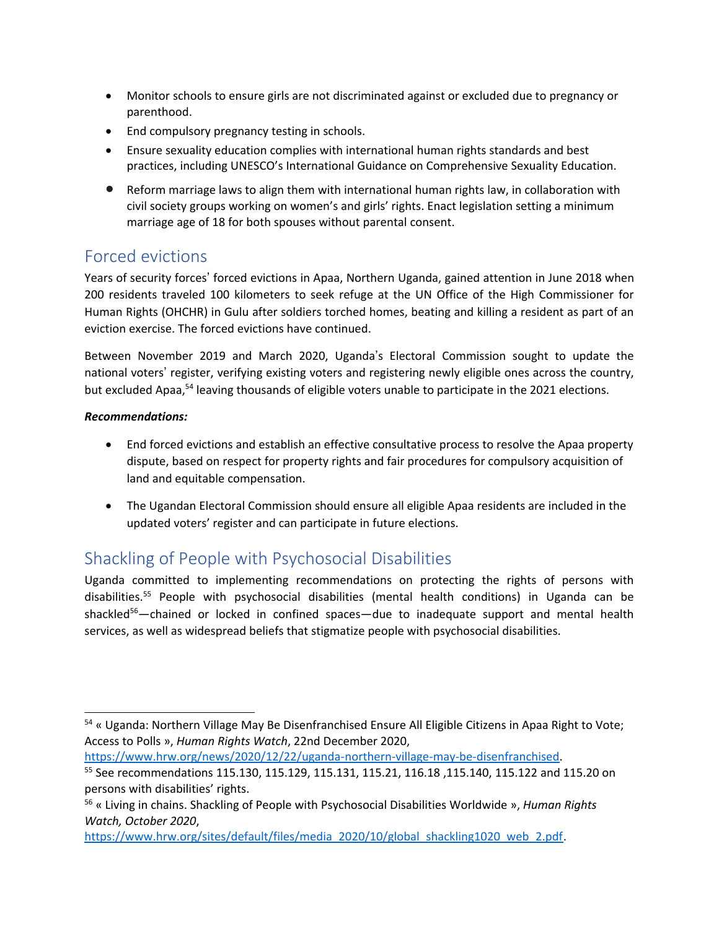- Monitor schools to ensure girls are not discriminated against or excluded due to pregnancy or parenthood.
- End compulsory pregnancy testing in schools.
- Ensure sexuality education complies with international human rights standards and best practices, including UNESCO'<sup>s</sup> International Guidance on Comprehensive Sexuality Education.
- **•** Reform marriage laws to align them with international human rights law, in collaboration with civil society groups working on women'<sup>s</sup> and girls' rights. Enact legislation setting <sup>a</sup> minimum marriage age of 18 for both spouses without parental consent.

## Forced evictions

Years of security forces' forced evictions in Apaa, Northern Uganda, gained attention in June 2018 when 200 residents traveled 100 kilometers to seek refuge at the UN Office of the High Commissioner for Human Rights (OHCHR) in Gulu after soldiers torched homes, beating and killing <sup>a</sup> resident as part of an eviction exercise. The forced evictions have continued.

Between November 2019 and March 2020, Uganda'<sup>s</sup> Electoral Commission sought to update the national voters' register, verifying existing voters and registering newly eligible ones across the country, but excluded Apaa,<sup>54</sup> leaving thousands of eligible voters unable to participate in the 2021 elections.

### *Recommendations:*

- End forced evictions and establish an effective consultative process to resolve the Apaa property dispute, based on respect for property rights and fair procedures for compulsory acquisition of land and equitable compensation.
- The Ugandan Electoral Commission should ensure all eligible Apaa residents are included in the updated voters' register and can participate in future elections.

## Shackling of People with Psychosocial Disabilities

Uganda committed to implementing recommendations on protecting the rights of persons with disabilities.<sup>55</sup> People with psychosocial disabilities (mental health conditions) in Uganda can be shackled<sup>56</sup>—chained or locked in confined spaces—due to inadequate support and mental health services, as well as widespread beliefs that stigmatize people with psychosocial disabilities.

<https://www.hrw.org/news/2020/12/22/uganda-northern-village-may-be-disenfranchised>.

<sup>&</sup>lt;sup>54</sup> « Uganda: Northern Village May Be Disenfranchised Ensure All Eligible Citizens in Apaa Right to Vote; Access to Polls », *Human Rights Watch*, 22nd December 2020,

<sup>55</sup> See recommendations 115.130, 115.129, 115.131, 115.21, 116.18 ,115.140, 115.122 and 115.20 on persons with disabilities' rights.

<sup>56</sup> « Living in chains. Shackling of People with Psychosocial Disabilities Worldwide », *Human Rights Watch, October 2020*,

[https://www.hrw.org/sites/default/files/media\\_2020/10/global\\_shackling1020\\_web\\_2.pdf](https://www.hrw.org/sites/default/files/media_2020/10/global_shackling1020_web_2.pdf).